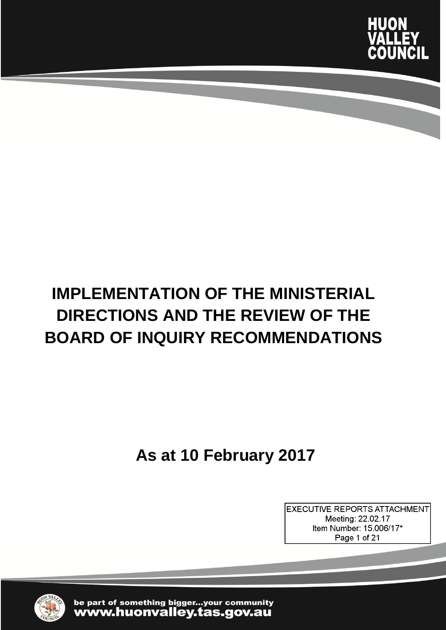

# **IMPLEMENTATION OF THE MINISTERIAL DIRECTIONS AND THE REVIEW OF THE BOARD OF INQUIRY RECOMMENDATIONS**

**As at 10 February 2017**

**EXECUTIVE REPORTS ATTACHMENT** Meeting: 22.02.17 Item Number: 15.006/17\* Page 1 of 21



be part of something bigger...your community www.huonvalley.tas.gov.au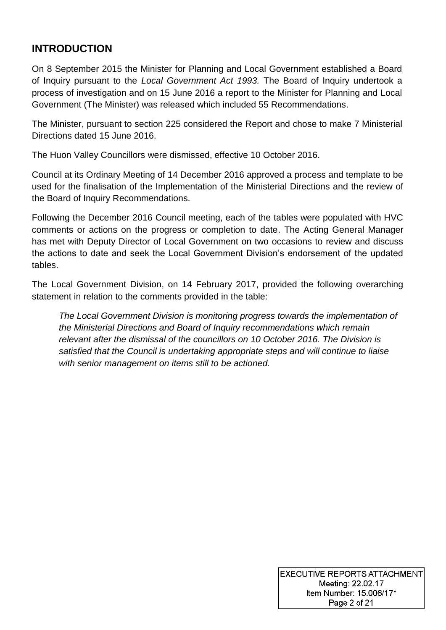### **INTRODUCTION**

On 8 September 2015 the Minister for Planning and Local Government established a Board of Inquiry pursuant to the *Local Government Act 1993.* The Board of Inquiry undertook a process of investigation and on 15 June 2016 a report to the Minister for Planning and Local Government (The Minister) was released which included 55 Recommendations.

The Minister, pursuant to section 225 considered the Report and chose to make 7 Ministerial Directions dated 15 June 2016.

The Huon Valley Councillors were dismissed, effective 10 October 2016.

Council at its Ordinary Meeting of 14 December 2016 approved a process and template to be used for the finalisation of the Implementation of the Ministerial Directions and the review of the Board of Inquiry Recommendations.

Following the December 2016 Council meeting, each of the tables were populated with HVC comments or actions on the progress or completion to date. The Acting General Manager has met with Deputy Director of Local Government on two occasions to review and discuss the actions to date and seek the Local Government Division's endorsement of the updated tables.

The Local Government Division, on 14 February 2017, provided the following overarching statement in relation to the comments provided in the table:

*The Local Government Division is monitoring progress towards the implementation of the Ministerial Directions and Board of Inquiry recommendations which remain relevant after the dismissal of the councillors on 10 October 2016. The Division is satisfied that the Council is undertaking appropriate steps and will continue to liaise with senior management on items still to be actioned.*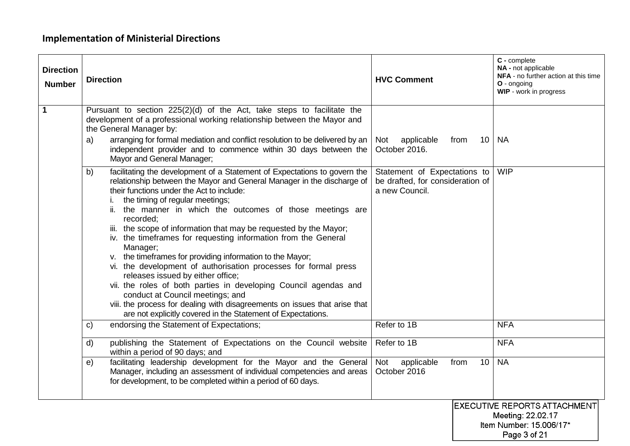## **Implementation of Ministerial Directions**

| <b>Direction</b><br><b>Number</b> | <b>Direction</b>                                                                                                                                                                                                                                                                                                                                                                                                                                                                                                                                                                                                                                                                                                                                                                                                                                                                                   | <b>HVC Comment</b>                                                                 | C - complete<br>NA - not applicable<br><b>NFA</b> - no further action at this time<br>O - ongoing<br>WIP - work in progress |
|-----------------------------------|----------------------------------------------------------------------------------------------------------------------------------------------------------------------------------------------------------------------------------------------------------------------------------------------------------------------------------------------------------------------------------------------------------------------------------------------------------------------------------------------------------------------------------------------------------------------------------------------------------------------------------------------------------------------------------------------------------------------------------------------------------------------------------------------------------------------------------------------------------------------------------------------------|------------------------------------------------------------------------------------|-----------------------------------------------------------------------------------------------------------------------------|
| 1                                 | Pursuant to section 225(2)(d) of the Act, take steps to facilitate the<br>development of a professional working relationship between the Mayor and<br>the General Manager by:<br>arranging for formal mediation and conflict resolution to be delivered by an<br>a)<br>independent provider and to commence within 30 days between the<br>Mayor and General Manager;                                                                                                                                                                                                                                                                                                                                                                                                                                                                                                                               | Not<br>applicable<br>10<br>from<br>October 2016.                                   | <b>NA</b>                                                                                                                   |
|                                   | facilitating the development of a Statement of Expectations to govern the<br>b)<br>relationship between the Mayor and General Manager in the discharge of<br>their functions under the Act to include:<br>the timing of regular meetings;<br>ii. the manner in which the outcomes of those meetings are<br>recorded;<br>iii. the scope of information that may be requested by the Mayor;<br>iv. the timeframes for requesting information from the General<br>Manager;<br>v. the timeframes for providing information to the Mayor;<br>vi. the development of authorisation processes for formal press<br>releases issued by either office;<br>vii. the roles of both parties in developing Council agendas and<br>conduct at Council meetings; and<br>viii. the process for dealing with disagreements on issues that arise that<br>are not explicitly covered in the Statement of Expectations. | Statement of Expectations to<br>be drafted, for consideration of<br>a new Council. | <b>WIP</b>                                                                                                                  |
|                                   | endorsing the Statement of Expectations;<br>c)                                                                                                                                                                                                                                                                                                                                                                                                                                                                                                                                                                                                                                                                                                                                                                                                                                                     | Refer to 1B                                                                        | <b>NFA</b>                                                                                                                  |
|                                   | publishing the Statement of Expectations on the Council website<br>d)<br>within a period of 90 days; and                                                                                                                                                                                                                                                                                                                                                                                                                                                                                                                                                                                                                                                                                                                                                                                           | Refer to 1B                                                                        | <b>NFA</b>                                                                                                                  |
|                                   | facilitating leadership development for the Mayor and the General<br>e)<br>Manager, including an assessment of individual competencies and areas<br>for development, to be completed within a period of 60 days.                                                                                                                                                                                                                                                                                                                                                                                                                                                                                                                                                                                                                                                                                   | Not<br>applicable<br>10 <sup>°</sup><br>from<br>October 2016                       | <b>NA</b>                                                                                                                   |
|                                   |                                                                                                                                                                                                                                                                                                                                                                                                                                                                                                                                                                                                                                                                                                                                                                                                                                                                                                    |                                                                                    | <b>EXECUTIVE REPORTS ATTACHMENT</b><br>Meeting: 22.02.17<br>Item Number: 15.006/17*<br>Page 3 of 21                         |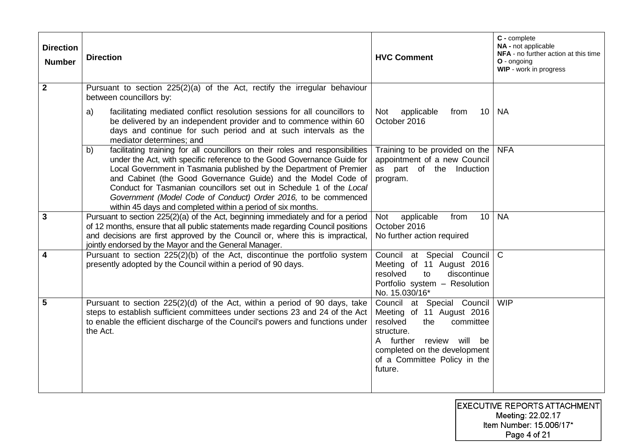| <b>Direction</b><br><b>Number</b> | <b>Direction</b>                                                                                                                                                                                                                                                                                                                                                                                                                                                                                                | <b>HVC Comment</b>                                                                                                                                                                                           | C - complete<br>NA - not applicable<br>NFA - no further action at this time<br>O - ongoing<br>WIP - work in progress |
|-----------------------------------|-----------------------------------------------------------------------------------------------------------------------------------------------------------------------------------------------------------------------------------------------------------------------------------------------------------------------------------------------------------------------------------------------------------------------------------------------------------------------------------------------------------------|--------------------------------------------------------------------------------------------------------------------------------------------------------------------------------------------------------------|----------------------------------------------------------------------------------------------------------------------|
| $\overline{2}$                    | Pursuant to section 225(2)(a) of the Act, rectify the irregular behaviour<br>between councillors by:                                                                                                                                                                                                                                                                                                                                                                                                            |                                                                                                                                                                                                              |                                                                                                                      |
|                                   | facilitating mediated conflict resolution sessions for all councillors to<br>a)<br>be delivered by an independent provider and to commence within 60<br>days and continue for such period and at such intervals as the<br>mediator determines; and                                                                                                                                                                                                                                                              | applicable<br>10 <sup>°</sup><br>Not<br>from<br>October 2016                                                                                                                                                 | <b>NA</b>                                                                                                            |
|                                   | facilitating training for all councillors on their roles and responsibilities<br>b)<br>under the Act, with specific reference to the Good Governance Guide for<br>Local Government in Tasmania published by the Department of Premier<br>and Cabinet (the Good Governance Guide) and the Model Code of<br>Conduct for Tasmanian councillors set out in Schedule 1 of the Local<br>Government (Model Code of Conduct) Order 2016, to be commenced<br>within 45 days and completed within a period of six months. | Training to be provided on the<br>appointment of a new Council<br>as part of the Induction<br>program.                                                                                                       | <b>NFA</b>                                                                                                           |
| $\mathbf{3}$                      | Pursuant to section 225(2)(a) of the Act, beginning immediately and for a period<br>of 12 months, ensure that all public statements made regarding Council positions<br>and decisions are first approved by the Council or, where this is impractical,<br>jointly endorsed by the Mayor and the General Manager.                                                                                                                                                                                                | applicable<br>from<br>10 <sup>°</sup><br><b>Not</b><br>October 2016<br>No further action required                                                                                                            | <b>NA</b>                                                                                                            |
| $\overline{\mathbf{4}}$           | Pursuant to section 225(2)(b) of the Act, discontinue the portfolio system<br>presently adopted by the Council within a period of 90 days.                                                                                                                                                                                                                                                                                                                                                                      | Council at Special Council<br>Meeting of 11 August 2016<br>resolved<br>discontinue<br>to<br>Portfolio system - Resolution<br>No. 15.030/16*                                                                  | $\mathsf{C}$                                                                                                         |
| $5\phantom{1}$                    | Pursuant to section 225(2)(d) of the Act, within a period of 90 days, take<br>steps to establish sufficient committees under sections 23 and 24 of the Act<br>to enable the efficient discharge of the Council's powers and functions under<br>the Act.                                                                                                                                                                                                                                                         | Council at Special Council<br>Meeting of 11 August 2016<br>resolved<br>the<br>committee<br>structure.<br>A further review will be<br>completed on the development<br>of a Committee Policy in the<br>future. | <b>WIP</b>                                                                                                           |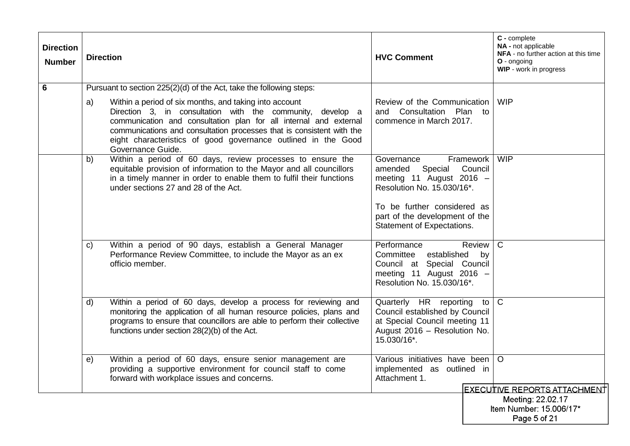| <b>Direction</b><br><b>Number</b> | <b>Direction</b>                                                                                                                                                                                                                                                                                                                                               | <b>HVC Comment</b>                                                                                                                                                                                                  | C - complete<br>NA - not applicable<br>NFA - no further action at this time<br>$O$ - ongoing<br>WIP - work in progress |
|-----------------------------------|----------------------------------------------------------------------------------------------------------------------------------------------------------------------------------------------------------------------------------------------------------------------------------------------------------------------------------------------------------------|---------------------------------------------------------------------------------------------------------------------------------------------------------------------------------------------------------------------|------------------------------------------------------------------------------------------------------------------------|
| $\overline{6}$                    | Pursuant to section 225(2)(d) of the Act, take the following steps:                                                                                                                                                                                                                                                                                            |                                                                                                                                                                                                                     |                                                                                                                        |
|                                   | Within a period of six months, and taking into account<br>a)<br>Direction 3, in consultation with the community, develop a<br>communication and consultation plan for all internal and external<br>communications and consultation processes that is consistent with the<br>eight characteristics of good governance outlined in the Good<br>Governance Guide. | Review of the Communication<br>and Consultation Plan to<br>commence in March 2017.                                                                                                                                  | <b>WIP</b>                                                                                                             |
|                                   | Within a period of 60 days, review processes to ensure the<br>b)<br>equitable provision of information to the Mayor and all councillors<br>in a timely manner in order to enable them to fulfil their functions<br>under sections 27 and 28 of the Act.                                                                                                        | Governance<br>Framework<br>Council<br>amended<br>Special<br>meeting 11 August 2016 $-$<br>Resolution No. 15.030/16*.<br>To be further considered as<br>part of the development of the<br>Statement of Expectations. | <b>WIP</b>                                                                                                             |
|                                   | Within a period of 90 days, establish a General Manager<br>C)<br>Performance Review Committee, to include the Mayor as an ex<br>officio member.                                                                                                                                                                                                                | Performance<br>Review   C<br>Committee established<br>by<br>Council at Special Council<br>meeting 11 August 2016 -<br>Resolution No. 15.030/16*.                                                                    |                                                                                                                        |
|                                   | Within a period of 60 days, develop a process for reviewing and<br>d)<br>monitoring the application of all human resource policies, plans and<br>programs to ensure that councillors are able to perform their collective<br>functions under section 28(2)(b) of the Act.                                                                                      | Quarterly HR reporting<br>to<br>Council established by Council<br>at Special Council meeting 11<br>August 2016 - Resolution No.<br>15.030/16*.                                                                      | $\mathbf C$                                                                                                            |
|                                   | Within a period of 60 days, ensure senior management are<br>e)<br>providing a supportive environment for council staff to come<br>forward with workplace issues and concerns.                                                                                                                                                                                  | Various initiatives have been   O<br>implemented as outlined in<br>Attachment 1.                                                                                                                                    |                                                                                                                        |
|                                   |                                                                                                                                                                                                                                                                                                                                                                |                                                                                                                                                                                                                     | <u> EXECUITIVE REPORTS ATTACHMENT</u><br>Meeting: 22.02.17<br>Item Number: 15.006/17*<br>Page 5 of 21                  |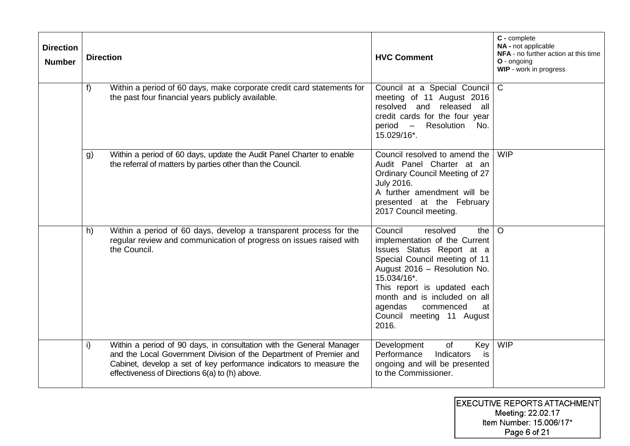| <b>Direction</b><br><b>Number</b> |    | <b>Direction</b>                                                                                                                                                                                                                                                    | <b>HVC Comment</b>                                                                                                                                                                                                                                                                                          | C - complete<br>NA - not applicable<br>NFA - no further action at this time<br>O - ongoing<br><b>WIP</b> - work in progress |
|-----------------------------------|----|---------------------------------------------------------------------------------------------------------------------------------------------------------------------------------------------------------------------------------------------------------------------|-------------------------------------------------------------------------------------------------------------------------------------------------------------------------------------------------------------------------------------------------------------------------------------------------------------|-----------------------------------------------------------------------------------------------------------------------------|
|                                   | f  | Within a period of 60 days, make corporate credit card statements for<br>the past four financial years publicly available.                                                                                                                                          | Council at a Special Council<br>meeting of 11 August 2016<br>resolved and released<br>all<br>credit cards for the four year<br>period –<br>Resolution<br>- No.<br>15.029/16*.                                                                                                                               | $\mathsf{C}$                                                                                                                |
|                                   | g) | Within a period of 60 days, update the Audit Panel Charter to enable<br>the referral of matters by parties other than the Council.                                                                                                                                  | Council resolved to amend the<br>Audit Panel Charter at an<br>Ordinary Council Meeting of 27<br><b>July 2016.</b><br>A further amendment will be<br>presented at the February<br>2017 Council meeting.                                                                                                      | <b>WIP</b>                                                                                                                  |
|                                   | h) | Within a period of 60 days, develop a transparent process for the<br>regular review and communication of progress on issues raised with<br>the Council.                                                                                                             | Council<br>resolved<br>the<br>implementation of the Current<br>Issues Status Report at a<br>Special Council meeting of 11<br>August 2016 - Resolution No.<br>15.034/16*.<br>This report is updated each<br>month and is included on all<br>agendas<br>commenced<br>at<br>Council meeting 11 August<br>2016. | $\circ$                                                                                                                     |
|                                   | i) | Within a period of 90 days, in consultation with the General Manager<br>and the Local Government Division of the Department of Premier and<br>Cabinet, develop a set of key performance indicators to measure the<br>effectiveness of Directions 6(a) to (h) above. | Key<br>Development<br>of<br>Performance<br>Indicators<br>is<br>ongoing and will be presented<br>to the Commissioner.                                                                                                                                                                                        | <b>WIP</b>                                                                                                                  |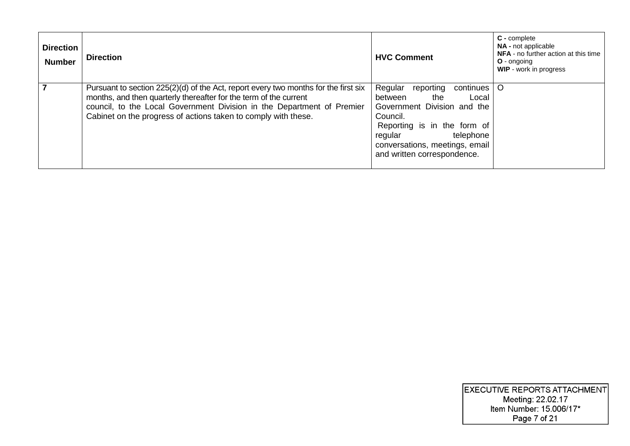| <b>Direction</b><br><b>Number</b> | <b>Direction</b>                                                                                                                                                                                                                                                                                       | <b>HVC Comment</b>                                                                                                                                                                                                              | $C$ - complete<br><b>NA</b> - not applicable<br>NFA - no further action at this time<br>$O -$ ongoing<br><b>WIP</b> - work in progress |
|-----------------------------------|--------------------------------------------------------------------------------------------------------------------------------------------------------------------------------------------------------------------------------------------------------------------------------------------------------|---------------------------------------------------------------------------------------------------------------------------------------------------------------------------------------------------------------------------------|----------------------------------------------------------------------------------------------------------------------------------------|
| $\overline{7}$                    | Pursuant to section $225(2)(d)$ of the Act, report every two months for the first six<br>months, and then quarterly thereafter for the term of the current<br>council, to the Local Government Division in the Department of Premier<br>Cabinet on the progress of actions taken to comply with these. | Regular<br>reporting<br>continues<br>between<br>the<br>Local<br>Government Division and the<br>Council.<br>Reporting is in the form of<br>telephone<br>regular<br>conversations, meetings, email<br>and written correspondence. | O                                                                                                                                      |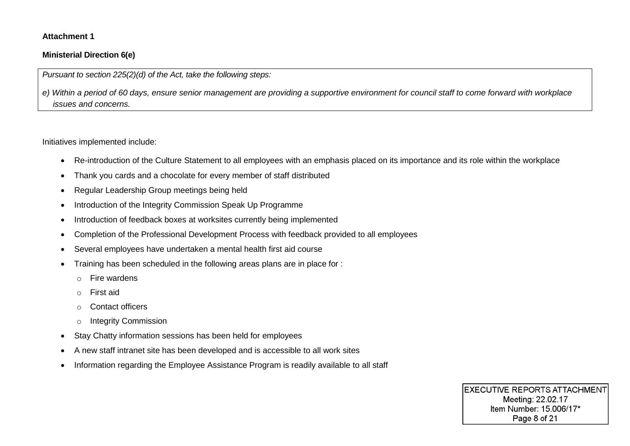#### **Attachment 1**

#### **Ministerial Direction 6(e)**

*Pursuant to section 225(2)(d) of the Act, take the following steps:*

*e) Within a period of 60 days, ensure senior management are providing a supportive environment for council staff to come forward with workplace issues and concerns.*

Initiatives implemented include:

- Re-introduction of the Culture Statement to all employees with an emphasis placed on its importance and its role within the workplace
- Thank you cards and a chocolate for every member of staff distributed
- Regular Leadership Group meetings being held
- Introduction of the Integrity Commission Speak Up Programme
- Introduction of feedback boxes at worksites currently being implemented
- Completion of the Professional Development Process with feedback provided to all employees
- Several employees have undertaken a mental health first aid course
- Training has been scheduled in the following areas plans are in place for :
	- o Fire wardens
	- o First aid
	- o Contact officers
	- o Integrity Commission
- Stay Chatty information sessions has been held for employees
- A new staff intranet site has been developed and is accessible to all work sites
- Information regarding the Employee Assistance Program is readily available to all staff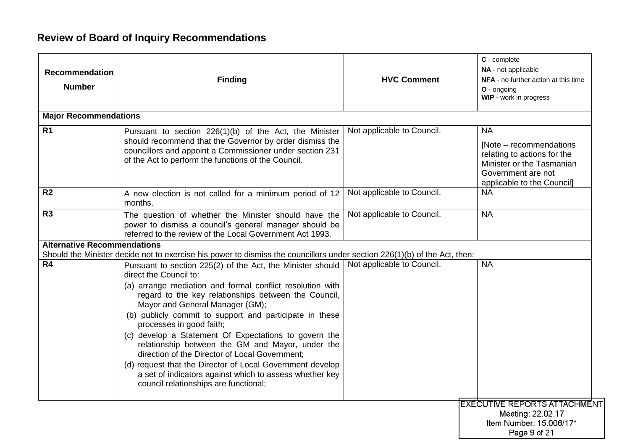# **Review of Board of Inquiry Recommendations**

| <b>Recommendation</b><br><b>Number</b> | <b>Finding</b>                                                                                                                                                                                                                                                                                                                                                                                                                                                                                                                                                                                                                                                      | <b>HVC Comment</b>         | C - complete<br>NA - not applicable<br>NFA - no further action at this time<br>O - ongoing<br>WIP - work in progress                                  |
|----------------------------------------|---------------------------------------------------------------------------------------------------------------------------------------------------------------------------------------------------------------------------------------------------------------------------------------------------------------------------------------------------------------------------------------------------------------------------------------------------------------------------------------------------------------------------------------------------------------------------------------------------------------------------------------------------------------------|----------------------------|-------------------------------------------------------------------------------------------------------------------------------------------------------|
| <b>Major Recommendations</b>           |                                                                                                                                                                                                                                                                                                                                                                                                                                                                                                                                                                                                                                                                     |                            |                                                                                                                                                       |
| R <sub>1</sub>                         | Pursuant to section 226(1)(b) of the Act, the Minister<br>should recommend that the Governor by order dismiss the<br>councillors and appoint a Commissioner under section 231<br>of the Act to perform the functions of the Council.                                                                                                                                                                                                                                                                                                                                                                                                                                | Not applicable to Council. | <b>NA</b><br>[Note – recommendations]<br>relating to actions for the<br>Minister or the Tasmanian<br>Government are not<br>applicable to the Council] |
| R <sub>2</sub>                         | A new election is not called for a minimum period of 12<br>months.                                                                                                                                                                                                                                                                                                                                                                                                                                                                                                                                                                                                  | Not applicable to Council. | <b>NA</b>                                                                                                                                             |
| R3                                     | The question of whether the Minister should have the<br>power to dismiss a council's general manager should be<br>referred to the review of the Local Government Act 1993.                                                                                                                                                                                                                                                                                                                                                                                                                                                                                          | Not applicable to Council. | <b>NA</b>                                                                                                                                             |
| <b>Alternative Recommendations</b>     | Should the Minister decide not to exercise his power to dismiss the councillors under section 226(1)(b) of the Act, then:                                                                                                                                                                                                                                                                                                                                                                                                                                                                                                                                           |                            |                                                                                                                                                       |
| R4                                     | Pursuant to section 225(2) of the Act, the Minister should<br>direct the Council to:<br>(a) arrange mediation and formal conflict resolution with<br>regard to the key relationships between the Council,<br>Mayor and General Manager (GM);<br>(b) publicly commit to support and participate in these<br>processes in good faith;<br>(c) develop a Statement Of Expectations to govern the<br>relationship between the GM and Mayor, under the<br>direction of the Director of Local Government;<br>(d) request that the Director of Local Government develop<br>a set of indicators against which to assess whether key<br>council relationships are functional; | Not applicable to Council. | <b>NA</b>                                                                                                                                             |
|                                        |                                                                                                                                                                                                                                                                                                                                                                                                                                                                                                                                                                                                                                                                     |                            | <b>EXECUTIVE REPORTS ATTACHMENT</b><br>Meeting: 22.02.17<br>Item Number: 15.006/17*<br>Page 9 of 21                                                   |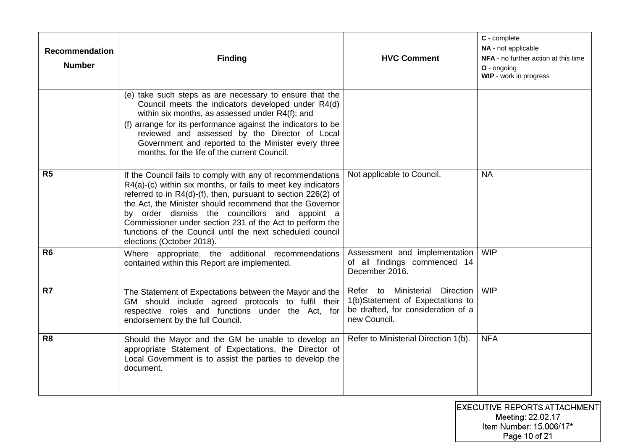| <b>Recommendation</b><br><b>Number</b> | <b>Finding</b>                                                                                                                                                                                                                                                                                                                                                                                                                                                  | <b>HVC Comment</b>                                                                                                             | C - complete<br>NA - not applicable<br>NFA - no further action at this time<br>O - ongoing<br>WIP - work in progress |
|----------------------------------------|-----------------------------------------------------------------------------------------------------------------------------------------------------------------------------------------------------------------------------------------------------------------------------------------------------------------------------------------------------------------------------------------------------------------------------------------------------------------|--------------------------------------------------------------------------------------------------------------------------------|----------------------------------------------------------------------------------------------------------------------|
|                                        | (e) take such steps as are necessary to ensure that the<br>Council meets the indicators developed under R4(d)<br>within six months, as assessed under R4(f); and<br>(f) arrange for its performance against the indicators to be<br>reviewed and assessed by the Director of Local<br>Government and reported to the Minister every three<br>months, for the life of the current Council.                                                                       |                                                                                                                                |                                                                                                                      |
| R <sub>5</sub>                         | If the Council fails to comply with any of recommendations<br>R4(a)-(c) within six months, or fails to meet key indicators<br>referred to in R4(d)-(f), then, pursuant to section 226(2) of<br>the Act, the Minister should recommend that the Governor<br>by order dismiss the councillors and appoint a<br>Commissioner under section 231 of the Act to perform the<br>functions of the Council until the next scheduled council<br>elections (October 2018). | Not applicable to Council.                                                                                                     | <b>NA</b>                                                                                                            |
| R <sub>6</sub>                         | Where appropriate, the additional recommendations<br>contained within this Report are implemented.                                                                                                                                                                                                                                                                                                                                                              | Assessment and implementation<br>of all findings commenced 14<br>December 2016.                                                | <b>WIP</b>                                                                                                           |
| R7                                     | The Statement of Expectations between the Mayor and the<br>GM should include agreed protocols to fulfil their<br>respective roles and functions under the Act, for<br>endorsement by the full Council.                                                                                                                                                                                                                                                          | Ministerial<br>Direction<br>Refer to<br>1(b)Statement of Expectations to<br>be drafted, for consideration of a<br>new Council. | <b>WIP</b>                                                                                                           |
| R <sub>8</sub>                         | Should the Mayor and the GM be unable to develop an<br>appropriate Statement of Expectations, the Director of<br>Local Government is to assist the parties to develop the<br>document.                                                                                                                                                                                                                                                                          | Refer to Ministerial Direction 1(b).                                                                                           | <b>NFA</b>                                                                                                           |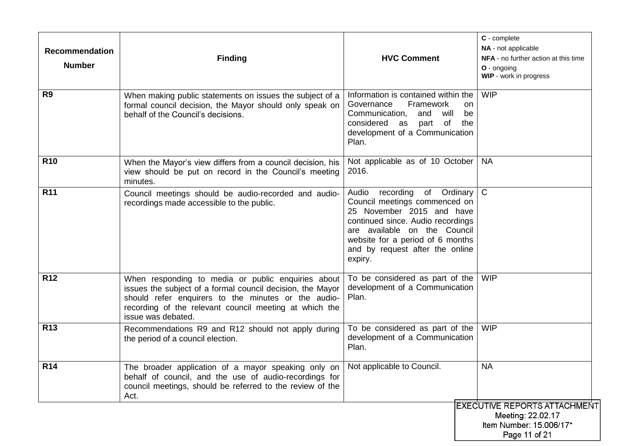| <b>Recommendation</b><br><b>Number</b> | <b>Finding</b>                                                                                                                                                                                                                                          | <b>HVC Comment</b>                                                                                                                                                                                                                               | C - complete<br>NA - not applicable<br>NFA - no further action at this time<br>O - ongoing<br>WIP - work in progress |
|----------------------------------------|---------------------------------------------------------------------------------------------------------------------------------------------------------------------------------------------------------------------------------------------------------|--------------------------------------------------------------------------------------------------------------------------------------------------------------------------------------------------------------------------------------------------|----------------------------------------------------------------------------------------------------------------------|
| R <sub>9</sub>                         | When making public statements on issues the subject of a<br>formal council decision, the Mayor should only speak on<br>behalf of the Council's decisions.                                                                                               | Information is contained within the<br>Framework<br>Governance<br>on.<br>Communication,<br>and<br>will<br>be<br>considered as<br>of<br>the<br>part<br>development of a Communication<br>Plan.                                                    | <b>WIP</b>                                                                                                           |
| <b>R10</b>                             | When the Mayor's view differs from a council decision, his<br>view should be put on record in the Council's meeting<br>minutes.                                                                                                                         | Not applicable as of 10 October<br>2016.                                                                                                                                                                                                         | <b>NA</b>                                                                                                            |
| <b>R11</b>                             | Council meetings should be audio-recorded and audio-<br>recordings made accessible to the public.                                                                                                                                                       | Audio recording of Ordinary<br>Council meetings commenced on<br>25 November 2015 and have<br>continued since. Audio recordings<br>are available on the Council<br>website for a period of 6 months<br>and by request after the online<br>expiry. | $\overline{C}$                                                                                                       |
| <b>R12</b>                             | When responding to media or public enquiries about<br>issues the subject of a formal council decision, the Mayor<br>should refer enquirers to the minutes or the audio-<br>recording of the relevant council meeting at which the<br>issue was debated. | To be considered as part of the<br>development of a Communication<br>Plan.                                                                                                                                                                       | <b>WIP</b>                                                                                                           |
| <b>R13</b>                             | Recommendations R9 and R12 should not apply during<br>the period of a council election.                                                                                                                                                                 | To be considered as part of the<br>development of a Communication<br>Plan.                                                                                                                                                                       | <b>WIP</b>                                                                                                           |
| R <sub>14</sub>                        | The broader application of a mayor speaking only on   Not applicable to Council.<br>behalf of council, and the use of audio-recordings for<br>council meetings, should be referred to the review of the<br>Act.                                         |                                                                                                                                                                                                                                                  | <b>NA</b>                                                                                                            |
|                                        |                                                                                                                                                                                                                                                         |                                                                                                                                                                                                                                                  | <b>EXECUTIVE REPORTS ATTACHMENT</b><br>Meeting: 22.02.17<br>Item Number: 15.006/17*<br>Page 11 of 21                 |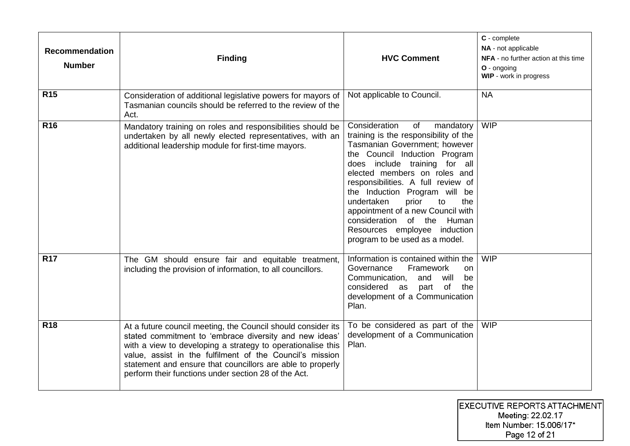| <b>Recommendation</b><br><b>Number</b> | <b>Finding</b>                                                                                                                                                                                                                                                                                                                                                          | <b>HVC Comment</b>                                                                                                                                                                                                                                                                                                                                                                                                                                           | C - complete<br>NA - not applicable<br>NFA - no further action at this time<br>$O -$ ongoing<br>WIP - work in progress |
|----------------------------------------|-------------------------------------------------------------------------------------------------------------------------------------------------------------------------------------------------------------------------------------------------------------------------------------------------------------------------------------------------------------------------|--------------------------------------------------------------------------------------------------------------------------------------------------------------------------------------------------------------------------------------------------------------------------------------------------------------------------------------------------------------------------------------------------------------------------------------------------------------|------------------------------------------------------------------------------------------------------------------------|
| <b>R15</b>                             | Consideration of additional legislative powers for mayors of<br>Tasmanian councils should be referred to the review of the<br>Act.                                                                                                                                                                                                                                      | Not applicable to Council.                                                                                                                                                                                                                                                                                                                                                                                                                                   | <b>NA</b>                                                                                                              |
| R <sub>16</sub>                        | Mandatory training on roles and responsibilities should be<br>undertaken by all newly elected representatives, with an<br>additional leadership module for first-time mayors.                                                                                                                                                                                           | Consideration<br>of<br>mandatory<br>training is the responsibility of the<br>Tasmanian Government; however<br>the Council Induction Program<br>does include training for all<br>elected members on roles and<br>responsibilities. A full review of<br>the Induction Program will be<br>undertaken<br>prior<br>the<br>to<br>appointment of a new Council with<br>consideration of the Human<br>Resources employee induction<br>program to be used as a model. | <b>WIP</b>                                                                                                             |
| <b>R17</b>                             | The GM should ensure fair and equitable treatment,<br>including the provision of information, to all councillors.                                                                                                                                                                                                                                                       | Information is contained within the<br>Governance<br>Framework<br>on<br>Communication,<br>and<br>will<br>be<br>considered as<br>part of<br>the<br>development of a Communication<br>Plan.                                                                                                                                                                                                                                                                    | <b>WIP</b>                                                                                                             |
| <b>R18</b>                             | At a future council meeting, the Council should consider its<br>stated commitment to 'embrace diversity and new ideas'<br>with a view to developing a strategy to operationalise this<br>value, assist in the fulfilment of the Council's mission<br>statement and ensure that councillors are able to properly<br>perform their functions under section 28 of the Act. | To be considered as part of the<br>development of a Communication<br>Plan.                                                                                                                                                                                                                                                                                                                                                                                   | <b>WIP</b>                                                                                                             |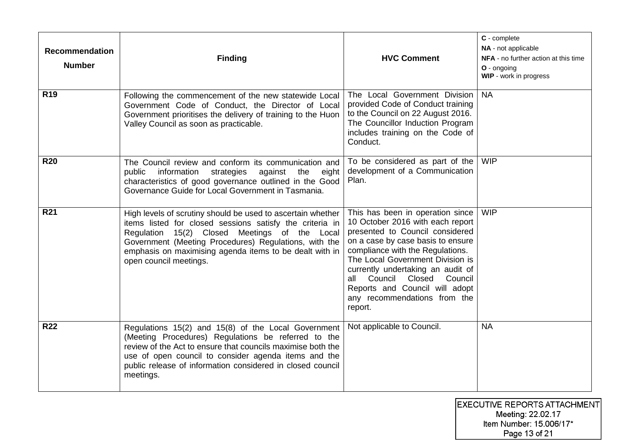| <b>Recommendation</b><br><b>Number</b> | <b>Finding</b>                                                                                                                                                                                                                                                                                                         | <b>HVC Comment</b>                                                                                                                                                                                                                                                                                                                                                            | C - complete<br>NA - not applicable<br>NFA - no further action at this time<br>O - ongoing<br>WIP - work in progress |
|----------------------------------------|------------------------------------------------------------------------------------------------------------------------------------------------------------------------------------------------------------------------------------------------------------------------------------------------------------------------|-------------------------------------------------------------------------------------------------------------------------------------------------------------------------------------------------------------------------------------------------------------------------------------------------------------------------------------------------------------------------------|----------------------------------------------------------------------------------------------------------------------|
| <b>R19</b>                             | Following the commencement of the new statewide Local<br>Government Code of Conduct, the Director of Local<br>Government prioritises the delivery of training to the Huon<br>Valley Council as soon as practicable.                                                                                                    | The Local Government Division<br>provided Code of Conduct training<br>to the Council on 22 August 2016.<br>The Councillor Induction Program<br>includes training on the Code of<br>Conduct.                                                                                                                                                                                   | <b>NA</b>                                                                                                            |
| <b>R20</b>                             | The Council review and conform its communication and<br>information<br>strategies<br>against<br>eight<br>public<br>the<br>characteristics of good governance outlined in the Good<br>Governance Guide for Local Government in Tasmania.                                                                                | To be considered as part of the<br>development of a Communication<br>Plan.                                                                                                                                                                                                                                                                                                    | <b>WIP</b>                                                                                                           |
| <b>R21</b>                             | High levels of scrutiny should be used to ascertain whether<br>items listed for closed sessions satisfy the criteria in<br>Regulation 15(2) Closed Meetings of the Local<br>Government (Meeting Procedures) Regulations, with the<br>emphasis on maximising agenda items to be dealt with in<br>open council meetings. | This has been in operation since<br>10 October 2016 with each report<br>presented to Council considered<br>on a case by case basis to ensure<br>compliance with the Regulations.<br>The Local Government Division is<br>currently undertaking an audit of<br>Council<br>Closed<br>Council<br>all<br>Reports and Council will adopt<br>any recommendations from the<br>report. | <b>WIP</b>                                                                                                           |
| <b>R22</b>                             | Regulations 15(2) and 15(8) of the Local Government<br>(Meeting Procedures) Regulations be referred to the<br>review of the Act to ensure that councils maximise both the<br>use of open council to consider agenda items and the<br>public release of information considered in closed council<br>meetings.           | Not applicable to Council.                                                                                                                                                                                                                                                                                                                                                    | <b>NA</b>                                                                                                            |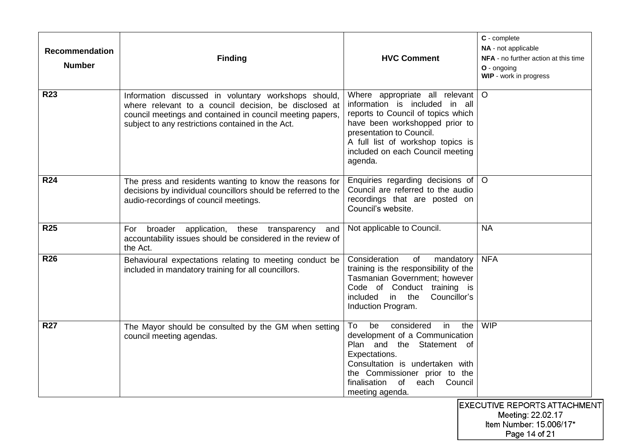| <b>Recommendation</b><br><b>Number</b> | <b>Finding</b>                                                                                                                                                                                                                  | <b>HVC Comment</b>                                                                                                                                                                                                                                          | C - complete<br>NA - not applicable<br>NFA - no further action at this time<br>O - ongoing<br>WIP - work in progress |
|----------------------------------------|---------------------------------------------------------------------------------------------------------------------------------------------------------------------------------------------------------------------------------|-------------------------------------------------------------------------------------------------------------------------------------------------------------------------------------------------------------------------------------------------------------|----------------------------------------------------------------------------------------------------------------------|
| <b>R23</b>                             | Information discussed in voluntary workshops should,<br>where relevant to a council decision, be disclosed at<br>council meetings and contained in council meeting papers,<br>subject to any restrictions contained in the Act. | Where appropriate all relevant<br>information is included<br>in all<br>reports to Council of topics which<br>have been workshopped prior to<br>presentation to Council.<br>A full list of workshop topics is<br>included on each Council meeting<br>agenda. | $\circ$                                                                                                              |
| <b>R24</b>                             | The press and residents wanting to know the reasons for<br>decisions by individual councillors should be referred to the<br>audio-recordings of council meetings.                                                               | Enquiries regarding decisions of<br>Council are referred to the audio<br>recordings that are posted on<br>Council's website.                                                                                                                                | $\circ$                                                                                                              |
| <b>R25</b>                             | For<br>broader<br>application, these transparency<br>and<br>accountability issues should be considered in the review of<br>the Act.                                                                                             | Not applicable to Council.                                                                                                                                                                                                                                  | <b>NA</b>                                                                                                            |
| <b>R26</b>                             | Behavioural expectations relating to meeting conduct be<br>included in mandatory training for all councillors.                                                                                                                  | Consideration<br>of<br>mandatory<br>training is the responsibility of the<br>Tasmanian Government; however<br>Code of Conduct training is<br>included<br>in the<br>Councillor's<br>Induction Program.                                                       | <b>NFA</b>                                                                                                           |
| <b>R27</b>                             | The Mayor should be consulted by the GM when setting<br>council meeting agendas.                                                                                                                                                | considered<br>To<br>be<br>in<br>the<br>development of a Communication<br>Plan and the Statement of<br>Expectations.<br>Consultation is undertaken with<br>the Commissioner prior to the<br>finalisation of<br>each<br>Council<br>meeting agenda.            | <b>WIP</b>                                                                                                           |
|                                        |                                                                                                                                                                                                                                 |                                                                                                                                                                                                                                                             | <b>EXECUTIVE REPORTS ATTACHMENT</b><br>Meeting: 22.02.17<br>Item Number: 15.006/17*                                  |

Page 14 of 21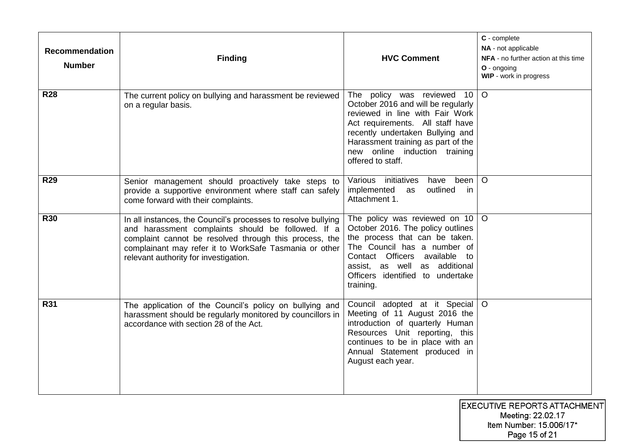| <b>Recommendation</b><br><b>Number</b> | <b>Finding</b>                                                                                                                                                                                                                                                                   | <b>HVC Comment</b>                                                                                                                                                                                                                                                      | C - complete<br>NA - not applicable<br>NFA - no further action at this time<br>O - ongoing<br>WIP - work in progress |
|----------------------------------------|----------------------------------------------------------------------------------------------------------------------------------------------------------------------------------------------------------------------------------------------------------------------------------|-------------------------------------------------------------------------------------------------------------------------------------------------------------------------------------------------------------------------------------------------------------------------|----------------------------------------------------------------------------------------------------------------------|
| <b>R28</b>                             | The current policy on bullying and harassment be reviewed<br>on a regular basis.                                                                                                                                                                                                 | The policy was reviewed 10<br>October 2016 and will be regularly<br>reviewed in line with Fair Work<br>Act requirements. All staff have<br>recently undertaken Bullying and<br>Harassment training as part of the<br>new online induction training<br>offered to staff. | $\circ$                                                                                                              |
| <b>R29</b>                             | Senior management should proactively take steps to<br>provide a supportive environment where staff can safely<br>come forward with their complaints.                                                                                                                             | Various initiatives<br>have<br>been<br>implemented as<br>outlined<br>in.<br>Attachment 1.                                                                                                                                                                               | $\circ$                                                                                                              |
| <b>R30</b>                             | In all instances, the Council's processes to resolve bullying<br>and harassment complaints should be followed. If a<br>complaint cannot be resolved through this process, the<br>complainant may refer it to WorkSafe Tasmania or other<br>relevant authority for investigation. | The policy was reviewed on 10<br>October 2016. The policy outlines<br>the process that can be taken.<br>The Council has a number of<br>Contact Officers available<br>to<br>assist, as well as additional<br>Officers identified to undertake<br>training.               | $\circ$                                                                                                              |
| <b>R31</b>                             | The application of the Council's policy on bullying and<br>harassment should be regularly monitored by councillors in<br>accordance with section 28 of the Act.                                                                                                                  | Council adopted at it Special<br>Meeting of 11 August 2016 the<br>introduction of quarterly Human<br>Resources Unit reporting, this<br>continues to be in place with an<br>Annual Statement produced in<br>August each year.                                            | $\circ$                                                                                                              |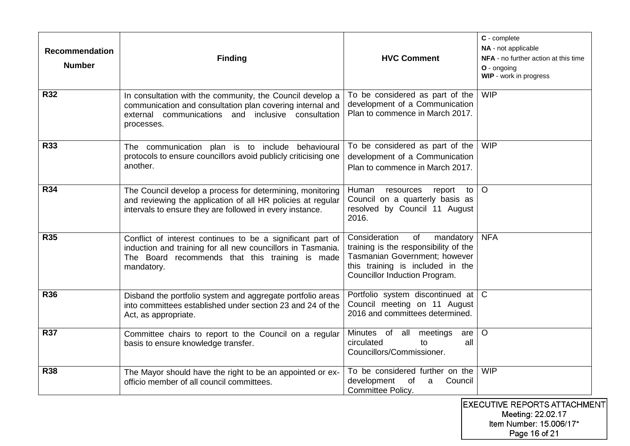| <b>Recommendation</b><br><b>Number</b> | <b>Finding</b>                                                                                                                                                                             | <b>HVC Comment</b>                                                                                                                                                              | C - complete<br>NA - not applicable<br>NFA - no further action at this time<br>O - ongoing<br>WIP - work in progress |
|----------------------------------------|--------------------------------------------------------------------------------------------------------------------------------------------------------------------------------------------|---------------------------------------------------------------------------------------------------------------------------------------------------------------------------------|----------------------------------------------------------------------------------------------------------------------|
| <b>R32</b>                             | In consultation with the community, the Council develop a<br>communication and consultation plan covering internal and<br>external communications and inclusive consultation<br>processes. | To be considered as part of the<br>development of a Communication<br>Plan to commence in March 2017.                                                                            | <b>WIP</b>                                                                                                           |
| <b>R33</b>                             | The communication plan is to include behavioural<br>protocols to ensure councillors avoid publicly criticising one<br>another.                                                             | To be considered as part of the<br>development of a Communication<br>Plan to commence in March 2017.                                                                            | <b>WIP</b>                                                                                                           |
| <b>R34</b>                             | The Council develop a process for determining, monitoring<br>and reviewing the application of all HR policies at regular<br>intervals to ensure they are followed in every instance.       | Human<br>resources<br>report<br>to<br>Council on a quarterly basis as<br>resolved by Council 11 August<br>2016.                                                                 | $\circ$                                                                                                              |
| <b>R35</b>                             | Conflict of interest continues to be a significant part of<br>induction and training for all new councillors in Tasmania.<br>The Board recommends that this training is made<br>mandatory. | Consideration<br>of<br>mandatory<br>training is the responsibility of the<br>Tasmanian Government; however<br>this training is included in the<br>Councillor Induction Program. | <b>NFA</b>                                                                                                           |
| <b>R36</b>                             | Disband the portfolio system and aggregate portfolio areas<br>into committees established under section 23 and 24 of the<br>Act, as appropriate.                                           | Portfolio system discontinued at<br>Council meeting on 11 August<br>2016 and committees determined.                                                                             | $\mathsf{C}$                                                                                                         |
| <b>R37</b>                             | Committee chairs to report to the Council on a regular<br>basis to ensure knowledge transfer.                                                                                              | Minutes of all<br>meetings<br>are<br>circulated<br>to<br>all<br>Councillors/Commissioner.                                                                                       | $\circ$                                                                                                              |
| <b>R38</b>                             | The Mayor should have the right to be an appointed or ex-<br>officio member of all council committees.                                                                                     | To be considered further on the<br>development<br>Council<br>of<br>a<br>Committee Policy.                                                                                       | <b>WIP</b>                                                                                                           |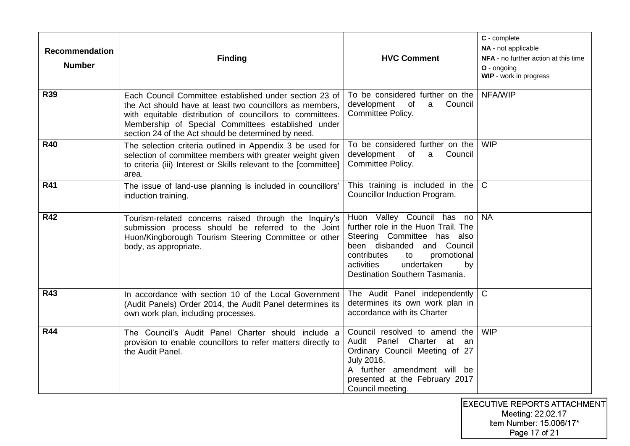| <b>Recommendation</b><br><b>Number</b> | <b>Finding</b>                                                                                                                                                                                                                                                                               | <b>HVC Comment</b>                                                                                                                                                                                                                        | C - complete<br>NA - not applicable<br>NFA - no further action at this time<br>$O$ - ongoing<br>WIP - work in progress |
|----------------------------------------|----------------------------------------------------------------------------------------------------------------------------------------------------------------------------------------------------------------------------------------------------------------------------------------------|-------------------------------------------------------------------------------------------------------------------------------------------------------------------------------------------------------------------------------------------|------------------------------------------------------------------------------------------------------------------------|
| <b>R39</b>                             | Each Council Committee established under section 23 of<br>the Act should have at least two councillors as members.<br>with equitable distribution of councillors to committees.<br>Membership of Special Committees established under<br>section 24 of the Act should be determined by need. | To be considered further on the<br>development<br>$\circ$ of<br>Council<br>a<br>Committee Policy.                                                                                                                                         | NFA/WIP                                                                                                                |
| <b>R40</b>                             | The selection criteria outlined in Appendix 3 be used for<br>selection of committee members with greater weight given<br>to criteria (iii) Interest or Skills relevant to the [committee]<br>area.                                                                                           | To be considered further on the<br>Council<br>development of<br>$\mathsf{a}$<br>Committee Policy.                                                                                                                                         | <b>WIP</b>                                                                                                             |
| R41                                    | The issue of land-use planning is included in councillors'<br>induction training.                                                                                                                                                                                                            | This training is included in the<br>Councillor Induction Program.                                                                                                                                                                         | $\mathsf{C}$                                                                                                           |
| <b>R42</b>                             | Tourism-related concerns raised through the Inquiry's<br>submission process should be referred to the Joint<br>Huon/Kingborough Tourism Steering Committee or other<br>body, as appropriate.                                                                                                 | Huon Valley Council has no<br>further role in the Huon Trail. The<br>Steering Committee has also<br>been disbanded<br>and Council<br>contributes<br>promotional<br>to<br>undertaken<br>activities<br>by<br>Destination Southern Tasmania. | <b>NA</b>                                                                                                              |
| <b>R43</b>                             | In accordance with section 10 of the Local Government<br>(Audit Panels) Order 2014, the Audit Panel determines its<br>own work plan, including processes.                                                                                                                                    | The Audit Panel independently<br>determines its own work plan in<br>accordance with its Charter                                                                                                                                           | $\mathsf{C}$                                                                                                           |
| <b>R44</b>                             | The Council's Audit Panel Charter should include a<br>provision to enable councillors to refer matters directly to<br>the Audit Panel.                                                                                                                                                       | Council resolved to amend the<br>Audit Panel Charter at<br>an<br>Ordinary Council Meeting of 27<br>July 2016.<br>A further amendment will be<br>presented at the February 2017<br>Council meeting.                                        | <b>WIP</b>                                                                                                             |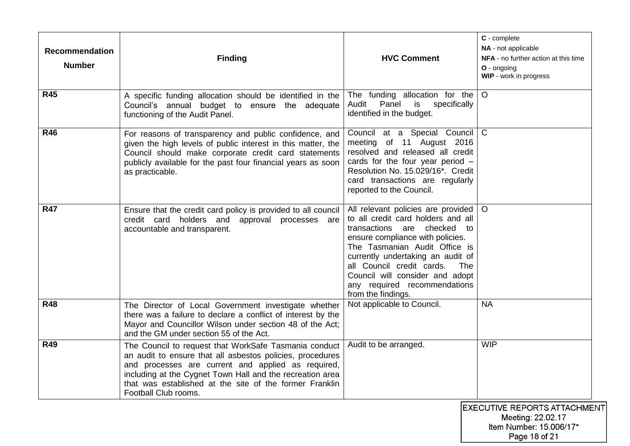| <b>Recommendation</b><br><b>Number</b> | <b>Finding</b>                                                                                                                                                                                                                                                                                                           | <b>HVC Comment</b>                                                                                                                                                                                                                                                                                                                               | C - complete<br>NA - not applicable<br>NFA - no further action at this time<br>O - ongoing<br>WIP - work in progress |
|----------------------------------------|--------------------------------------------------------------------------------------------------------------------------------------------------------------------------------------------------------------------------------------------------------------------------------------------------------------------------|--------------------------------------------------------------------------------------------------------------------------------------------------------------------------------------------------------------------------------------------------------------------------------------------------------------------------------------------------|----------------------------------------------------------------------------------------------------------------------|
| <b>R45</b>                             | A specific funding allocation should be identified in the<br>Council's annual budget to ensure the adequate<br>functioning of the Audit Panel.                                                                                                                                                                           | The funding allocation for the<br>Panel<br>Audit<br>is<br>specifically<br>identified in the budget.                                                                                                                                                                                                                                              | $\circ$                                                                                                              |
| <b>R46</b>                             | For reasons of transparency and public confidence, and<br>given the high levels of public interest in this matter, the<br>Council should make corporate credit card statements<br>publicly available for the past four financial years as soon<br>as practicable.                                                        | Council at a Special Council<br>meeting of 11 August 2016<br>resolved and released all credit<br>cards for the four year period $-$<br>Resolution No. 15.029/16*. Credit<br>card transactions are regularly<br>reported to the Council.                                                                                                          | $\mathsf{C}$                                                                                                         |
| <b>R47</b>                             | Ensure that the credit card policy is provided to all council<br>credit card holders and approval processes are<br>accountable and transparent.                                                                                                                                                                          | All relevant policies are provided<br>to all credit card holders and all<br>transactions are checked to<br>ensure compliance with policies.<br>The Tasmanian Audit Office is<br>currently undertaking an audit of<br>all Council credit cards.<br>The l<br>Council will consider and adopt<br>any required recommendations<br>from the findings. | $\Omega$                                                                                                             |
| <b>R48</b>                             | The Director of Local Government investigate whether<br>there was a failure to declare a conflict of interest by the<br>Mayor and Councillor Wilson under section 48 of the Act;<br>and the GM under section 55 of the Act.                                                                                              | Not applicable to Council.                                                                                                                                                                                                                                                                                                                       | <b>NA</b>                                                                                                            |
| <b>R49</b>                             | The Council to request that WorkSafe Tasmania conduct<br>an audit to ensure that all asbestos policies, procedures<br>and processes are current and applied as required,<br>including at the Cygnet Town Hall and the recreation area<br>that was established at the site of the former Franklin<br>Football Club rooms. | Audit to be arranged.                                                                                                                                                                                                                                                                                                                            | <b>WIP</b><br><b>IEXECUTIVE REPORTS ATTACHMEI</b>                                                                    |

 $\overline{\text{ENT}}$ Meeting: 22.02.17<br>Meeting: 22.02.17<br>Item Number: 15.006/17\* Page 18 of 21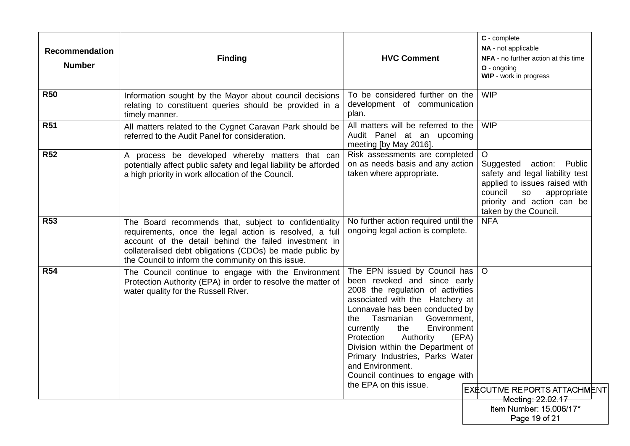| <b>Recommendation</b><br><b>Number</b> | <b>Finding</b>                                                                                                                                                                                                                                                                              | <b>HVC Comment</b>                                                                                                                                                                                                                                                                                                                                                                                                                           | C - complete<br>NA - not applicable<br>NFA - no further action at this time<br>$O -$ ongoing<br>WIP - work in progress                                                                            |
|----------------------------------------|---------------------------------------------------------------------------------------------------------------------------------------------------------------------------------------------------------------------------------------------------------------------------------------------|----------------------------------------------------------------------------------------------------------------------------------------------------------------------------------------------------------------------------------------------------------------------------------------------------------------------------------------------------------------------------------------------------------------------------------------------|---------------------------------------------------------------------------------------------------------------------------------------------------------------------------------------------------|
| <b>R50</b>                             | Information sought by the Mayor about council decisions<br>relating to constituent queries should be provided in a<br>timely manner.                                                                                                                                                        | To be considered further on the<br>development of communication<br>plan.                                                                                                                                                                                                                                                                                                                                                                     | <b>WIP</b>                                                                                                                                                                                        |
| <b>R51</b>                             | All matters related to the Cygnet Caravan Park should be<br>referred to the Audit Panel for consideration.                                                                                                                                                                                  | All matters will be referred to the<br>Audit Panel at an upcoming<br>meeting [by May 2016].                                                                                                                                                                                                                                                                                                                                                  | <b>WIP</b>                                                                                                                                                                                        |
| <b>R52</b>                             | A process be developed whereby matters that can<br>potentially affect public safety and legal liability be afforded<br>a high priority in work allocation of the Council.                                                                                                                   | Risk assessments are completed<br>on as needs basis and any action<br>taken where appropriate.                                                                                                                                                                                                                                                                                                                                               | $\circ$<br>Suggested action:<br>Public<br>safety and legal liability test<br>applied to issues raised with<br>council<br>appropriate<br>SO<br>priority and action can be<br>taken by the Council. |
| <b>R53</b>                             | The Board recommends that, subject to confidentiality<br>requirements, once the legal action is resolved, a full<br>account of the detail behind the failed investment in<br>collateralised debt obligations (CDOs) be made public by<br>the Council to inform the community on this issue. | No further action required until the<br>ongoing legal action is complete.                                                                                                                                                                                                                                                                                                                                                                    | <b>NFA</b>                                                                                                                                                                                        |
| <b>R54</b>                             | The Council continue to engage with the Environment<br>Protection Authority (EPA) in order to resolve the matter of<br>water quality for the Russell River.                                                                                                                                 | The EPN issued by Council has<br>been revoked and since early<br>2008 the regulation of activities<br>associated with the Hatchery at<br>Lonnavale has been conducted by<br>Tasmanian<br>Government,<br>the<br>currently<br>the<br>Environment<br>Protection<br>Authority<br>(EPA)<br>Division within the Department of<br>Primary Industries, Parks Water<br>and Environment.<br>Council continues to engage with<br>the EPA on this issue. | $\circ$<br>EXECUTIVE REPORTS ATTACHMENT<br>Meeting: 22.02.17                                                                                                                                      |
|                                        |                                                                                                                                                                                                                                                                                             |                                                                                                                                                                                                                                                                                                                                                                                                                                              | Item Number: 15.006/17*<br>Page 19 of 21                                                                                                                                                          |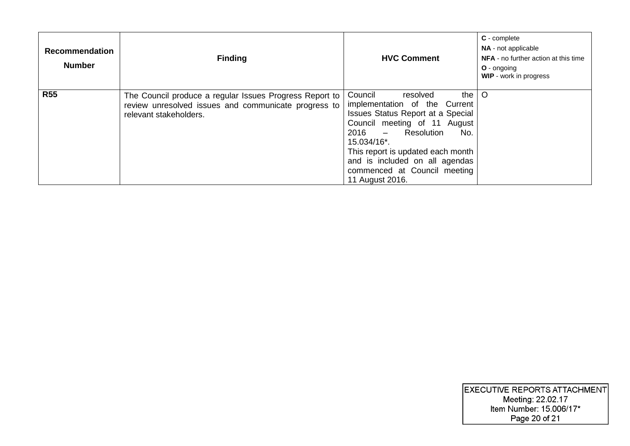| <b>Recommendation</b><br><b>Number</b> | <b>Finding</b>                                                                                                                            | <b>HVC Comment</b>                                                                                                                                                                                                                                                                                           | C - complete<br>NA - not applicable<br>NFA - no further action at this time<br><b>O</b> - ongoing<br>WIP - work in progress |
|----------------------------------------|-------------------------------------------------------------------------------------------------------------------------------------------|--------------------------------------------------------------------------------------------------------------------------------------------------------------------------------------------------------------------------------------------------------------------------------------------------------------|-----------------------------------------------------------------------------------------------------------------------------|
| <b>R55</b>                             | The Council produce a regular Issues Progress Report to<br>review unresolved issues and communicate progress to<br>relevant stakeholders. | Council<br>the<br>resolved<br>implementation of the Current<br><b>Issues Status Report at a Special</b><br>Council meeting of 11 August<br>2016 - Resolution<br>No.<br>15.034/16*.<br>This report is updated each month<br>and is included on all agendas<br>commenced at Council meeting<br>11 August 2016. | $\circ$                                                                                                                     |